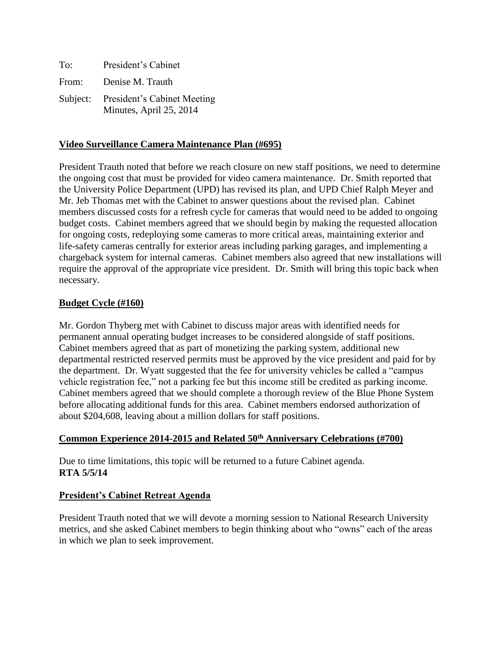| To:   | President's Cabinet                                             |
|-------|-----------------------------------------------------------------|
| From: | Denise M. Trauth                                                |
|       | Subject: President's Cabinet Meeting<br>Minutes, April 25, 2014 |

## **Video Surveillance Camera Maintenance Plan (#695)**

President Trauth noted that before we reach closure on new staff positions, we need to determine the ongoing cost that must be provided for video camera maintenance. Dr. Smith reported that the University Police Department (UPD) has revised its plan, and UPD Chief Ralph Meyer and Mr. Jeb Thomas met with the Cabinet to answer questions about the revised plan. Cabinet members discussed costs for a refresh cycle for cameras that would need to be added to ongoing budget costs. Cabinet members agreed that we should begin by making the requested allocation for ongoing costs, redeploying some cameras to more critical areas, maintaining exterior and life-safety cameras centrally for exterior areas including parking garages, and implementing a chargeback system for internal cameras. Cabinet members also agreed that new installations will require the approval of the appropriate vice president. Dr. Smith will bring this topic back when necessary.

## **Budget Cycle (#160)**

Mr. Gordon Thyberg met with Cabinet to discuss major areas with identified needs for permanent annual operating budget increases to be considered alongside of staff positions. Cabinet members agreed that as part of monetizing the parking system, additional new departmental restricted reserved permits must be approved by the vice president and paid for by the department. Dr. Wyatt suggested that the fee for university vehicles be called a "campus vehicle registration fee," not a parking fee but this income still be credited as parking income. Cabinet members agreed that we should complete a thorough review of the Blue Phone System before allocating additional funds for this area. Cabinet members endorsed authorization of about \$204,608, leaving about a million dollars for staff positions.

## **Common Experience 2014-2015 and Related 50th Anniversary Celebrations (#700)**

Due to time limitations, this topic will be returned to a future Cabinet agenda. **RTA 5/5/14**

#### **President's Cabinet Retreat Agenda**

President Trauth noted that we will devote a morning session to National Research University metrics, and she asked Cabinet members to begin thinking about who "owns" each of the areas in which we plan to seek improvement.